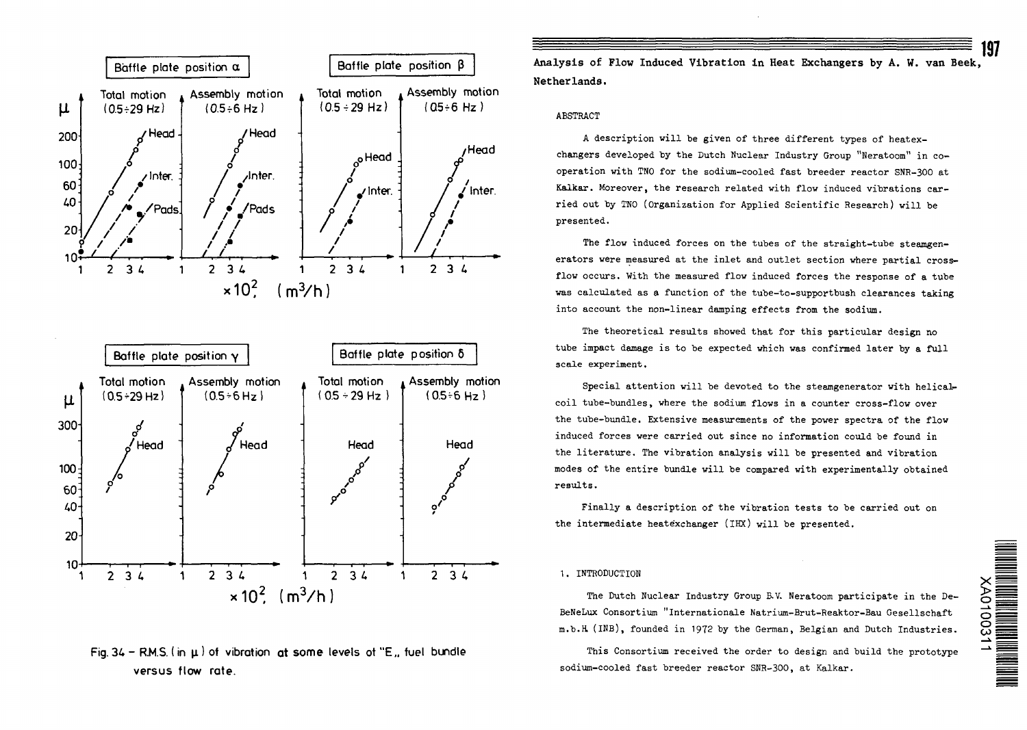





60; 40-

•

/

20

 $10-$ 

Analysis of Flow Induced Vibration in Heat Exchangers by A. W. van Beek, Netherlands.

## ABSTRACT

A description will be given of three different types of heatexchangers developed by the Dutch Nuclear Industry Group "Heratoom" in cooperation with TN0 for the sodium-cooled fast breeder reactor SNR-3OO at Kalkar. Moreover, the research related with flow induced vibrations carried out by TNO (Organization for Applied Scientific Research) will be presented.

The flow induced forces on the tubes of the straight-tube steamgenerators were measured at the inlet and outlet section where partial crossflow occurs. With the measured flow induced forces the response of a tube was calculated as a function of the tube-to-supportbush clearances taking into account the non-linear damping effects from the sodium.

The theoretical results showed that for this particular design no tube impact damage is to be expected which was confirmed later by a full scale experiment.

Special attention will be devoted to the steamgenerator with helicalcoil tube-bundles, where the sodium flows in a counter cross-flow over the tube-bundle. Extensive measurements of the power spectra of the flow induced forces were carried out since no information could be found in the literature. The vibration analysis will be presented and vibration modes of the entire bundle will be compared with experimentally obtained

Finally a description of the vibration tests to be carried out on the intermediate heatexchanger (IHX) will be presented.

## 1. INTRODUCTION

The Dutch Nuclear Industry Group B.V. Neratoom participate in the De-BeNeLux Consortium "Internationale Natrium-Brut-Reaktor-Bau Gesellschaft m.b.R (INB), founded in 1972 by the German, Belgian and Dutch Industries.

This Consortium received the order to design and build the prototype sodium-cooled fast breeder reactor SNR-3OO, at Kalkar.

197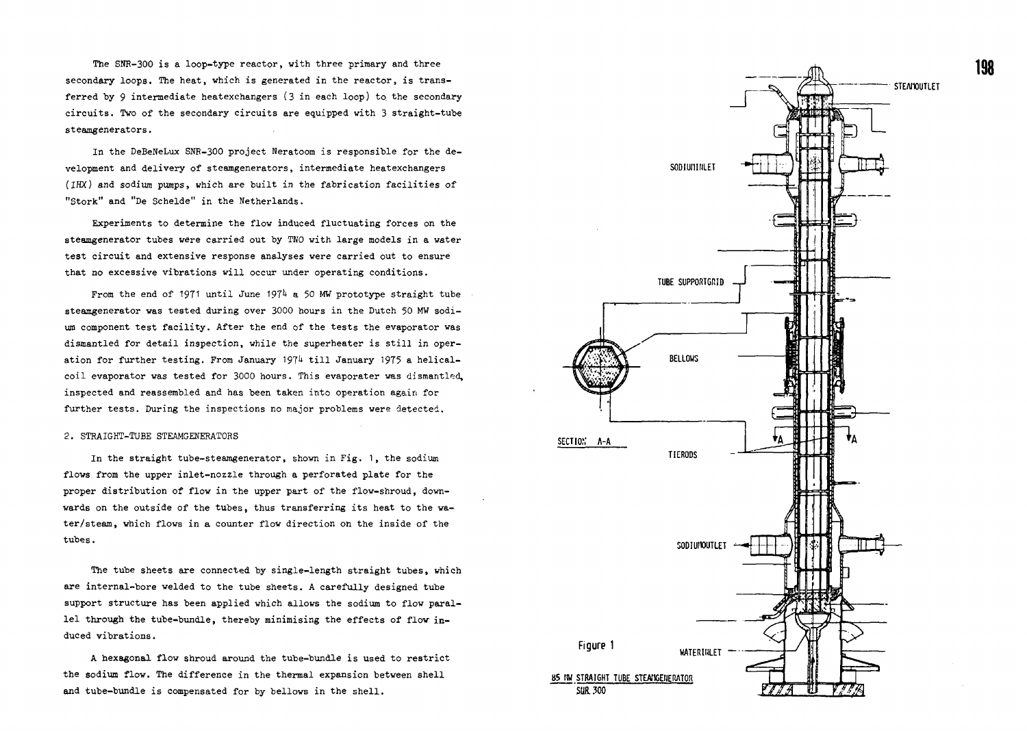The SNR-300 is a loop-type reactor, with three primary and three secondary loops. The heat, which is generated in the reactor, is transferred by 9 intermediate heatexchangers  $(3 \text{ in each loop})$  to the secondary circuits. Two of the secondary circuits are equipped with 3 straight-tube steamgenerators.

In the DeBeNeLux SNR-300 project Neratoom is responsible for the development and delivery of steamgenerators, intermediate heatexchangers (IHX) and sodium pumps, which are built in the fabrication facilities of "Stork" and "De Schelde" in the Netherlands.

Experiments to determine the flow induced fluctuating forces on the steamgenerator tubes were carried out by TNO with large models in a water test circuit and extensive response analyses were carried out to ensure that no excessive vibrations will occur under operating conditions.

From the end of 1971 until June 1974 a 50 MW prototype straight tube steamgenerator was tested during over 3000 hours in the Dutch 50 MW sodium component test facility. After the end of the tests the evaporator was dismantled for detail inspection, while the superheater is still in operation for further testing. From January 1974 till January 1975 a helicalcoil evaporator was tested for 3000 hours. This evaporater was dismantled, inspected and reassembled and has been taken into operation again for further tests. During the inspections no major problems were detected.

### 2. STRAIGHT-TUBE STEAMGENERATORS

In the straight tube-steamgenerator, shown in Fig. 1, the sodium flows from the upper inlet-nozzle through a perforated plate for the proper distribution of flow in the upper part of the flow-shroud, downwards on the outside of the tubes, thus transferring its heat to the water/steam, which flows in a counter flow direction on the inside of the tubes.

The tube sheets are connected by single-length straight tubes, which are internal-bore welded to the tube sheets. A carefully designed tube support structure has been applied which allows the sodium to flow parallel through the tube-bundle, thereby minimising the effects of flow induced vibrations.

A hexagonal flow shroud around the tube-bundle is used to restrict the sodium flow. The difference in the thermal expansion between shell and tube-bundle is compensated for by bellows in the shell.

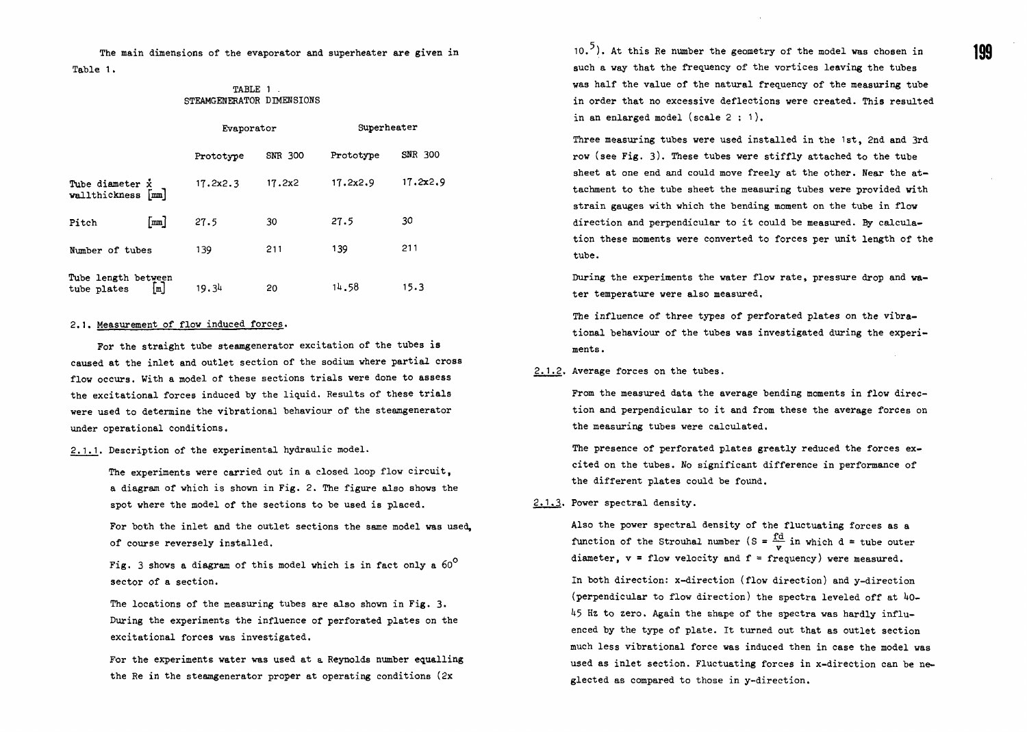The main dimensions of the evaporator and superheater are given in Table 1.

# TABLE 1 . STEAMGENERATOR DIMENSIONS

|                                    |                              | Evaporator |         | Superheater |          |
|------------------------------------|------------------------------|------------|---------|-------------|----------|
|                                    |                              | Prototype  | SNR 300 | Prototype   | SNR 300  |
| Tube diameter x<br>wallthickness   | $\lceil \frac{mm}{2} \rceil$ | 17.2x2.3   | 17.2x2  | 17.2x2.9    | 17.2x2.9 |
| Pitch                              | [mm]                         | 27.5       | 30      | 27.5        | 30       |
| Number of tubes                    |                              | 139        | 211     | 139         | 211      |
| Tube length between<br>tube plates | [≖]                          | 19.34      | 20      | 14.58       | 15.3     |

#### 2.1. Measurement of flow induced forces.

For the straight tube steamgenerator excitation of the tubes is caused at the inlet and outlet section of the sodium where partial cross flow occurs. With a model of these sections trials were done to assess the excitational forces induced by the liquid. Results of these trials were used to determine the vibrational behaviour of the steamgenerator under operational conditions.

2.1.1. Description of the experimental hydraulic model.

The experiments were carried out in a closed loop flow circuit, a diagram of which is shown in Fig. 2. The figure also shows the spot where the model of the sections to be used is placed.

For both the inlet and the outlet sections the same model was used, of course reversely installed.

Fig. 3 shows a diagram of this model which is in fact only a  $60^{\circ}$ sector of a section.

The locations of the measuring tubes are also shown in Fig. 3. During the experiments the influence of perforated plates on the excitational forces was investigated.

For the experiments water was used at a Reynolds number equalling the Re in the steamgenerator proper at operating conditions (2x

 $10.$ <sup>5</sup>). At this Re number the geometry of the model was chosen in such a way that the frequency of the vortices leaving the tubes was half the value of the natural frequency of the measuring tube in order that no excessive deflections were created. This resulted in an enlarged model (scale  $2:1$ ).

Three measuring tubes were used installed in the 1st, 2nd and 3rd row (see Fig. 3). These tubes were stiffly attached to the tube sheet at one end and could move freely at the other. Near the attachment to the tube sheet the measuring tubes were provided with strain gauges with which the bending moment on the tube in flow direction and perpendicular to it could be measured. By calculation these moments were converted to forces per unit length of the tube.

During the experiments the water flow rate, pressure drop and water temperature were also measured.

The influence of three types of perforated plates on the vibrational behaviour of the tubes was investigated during the experiments .

2.1.2. Average forces on the tubes.

From the measured data the average bending moments in flow direction and perpendicular to it and from these the average forces on the measuring tubes were calculated.

The presence of perforated plates greatly reduced the forces excited on the tubes. No significant difference in performance of the different plates could be found.

#### 2.1.3. Power spectral density.

Also the power spectral density of the fluctuating forces as a function of the Strouhal number (S =  $\frac{fd}{v}$  in which d = tube outer diameter,  $v = flow$  velocity and  $f = frequency$  were measured.

In both direction: x-direction (flow direction) and y-direction (perpendicular to flow direction) the spectra leveled off at  $40-$ 45 Hz to zero. Again the shape of the spectra was hardly influenced by the type of plate. It turned out that as outlet section much less vibrational force was induced then in case the model was used as inlet section. Fluctuating forces in x-direction can be neglected as compared to those in y-direction.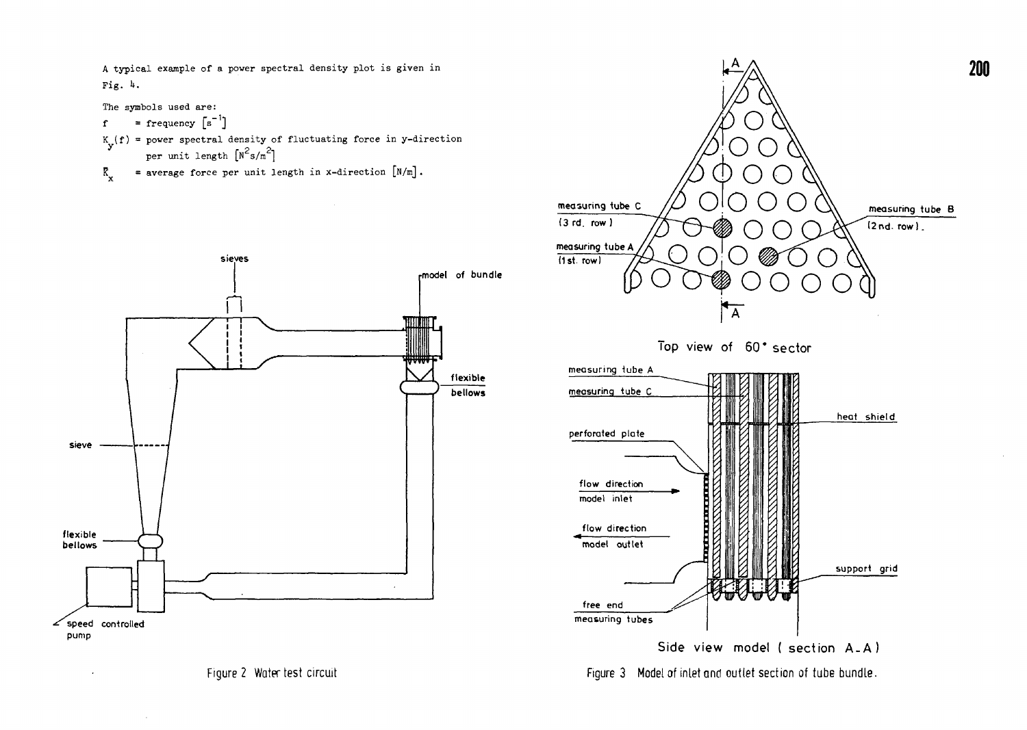A typical example of a power spectral density plot is given in Fig. 4.

The symbols used are:

$$
f = frequency [s^{-1}]
$$

- K (f) = power spectral density of fluctuating force in y-direction  $\sigma$  reprint length  $\lceil n^2 \epsilon / m^2 \rceil$ per unit length  $\left[\begin{array}{ccc} 1 & 3 \\ 1 & 3 \end{array}\right]$
- $K$  = average force per unit length in x-direction  $\lfloor N/m \rfloor$ .





Figure 3 Model of inlet and outlet section of tube bundle.

Figure 2 Water test circuit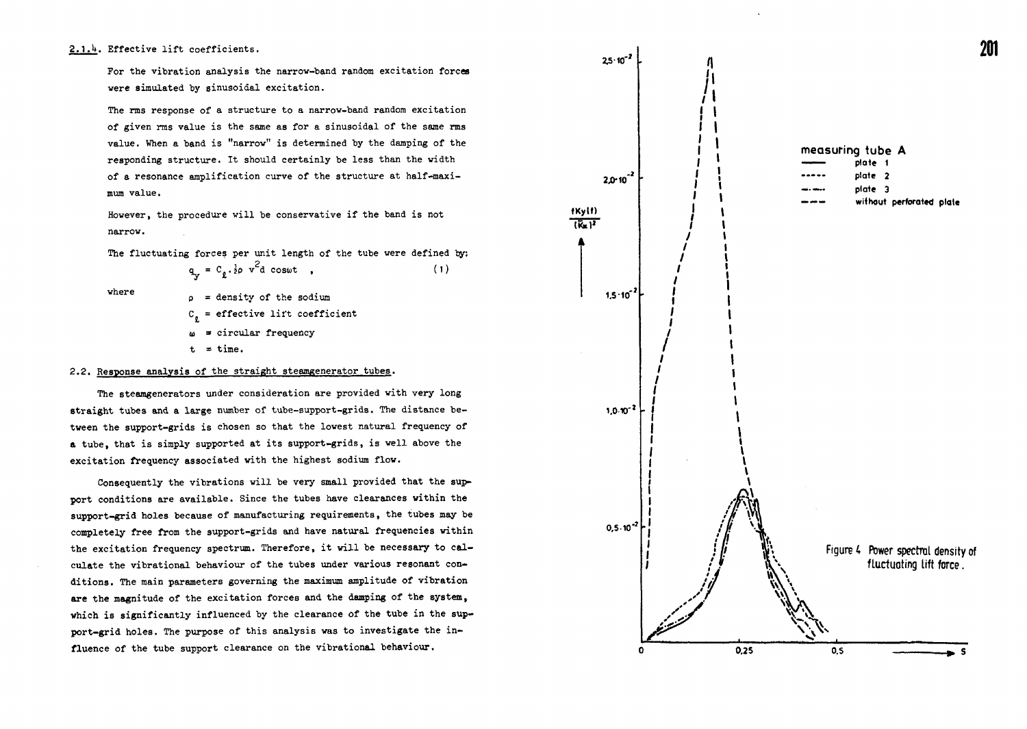# 2.1.4. Effective lift coefficients.

For the vibration analysis the narrow-band random excitation forces were simulated by sinusoidal excitation.

The rms response of a structure to a narrow-band random excitation of given rras value is the same as for a sinusoidal of the same rms value. When a band is "narrow" is determined by the damping of the responding structure. It should certainly be less than the width of a resonance amplification curve of the structure at half-maximum value.

However, the procedure will be conservative if the band is not narrow.

The fluctuating forces per unit length of the tube were defined by:

 $q_v = C_{\rho} \cdot \frac{1}{2} \rho \ v^2 d \ \cos \omega t$ , (1)

where

 $p =$  density of the sodium  $C_n$  = effective lift coefficient  $\omega$  = circular frequency  $t = time.$ 

## 2.2. Response analysis of the straight steamgenerator tubes.

The steamgenerators under consideration are provided with very long straight tubes and a large number of tube-support-grids. The distance between the support-grids is chosen so that the lowest natural frequency of a tube, that is simply supported at its support-grids, is well above the excitation frequency associated with the highest sodium flow.

Consequently the vibrations will be very small provided that the support conditions are available. Since the tubes have clearances within the support-grid holes because of manufacturing requirements, the tubes may be completely free from the support-grids and have natural frequencies within the excitation frequency spectrum. Therefore, it will be necessary to calculate the vibrational behaviour of the tubes under various resonant conditions. The main parameters governing the maximum amplitude of vibration are the magnitude of the excitation forces and the damping of the system, which is significantly influenced by the clearance of the tube in the support-grid holes. The purpose of this analysis was to investigate the influence of the tube support clearance on the vibrational behaviour.

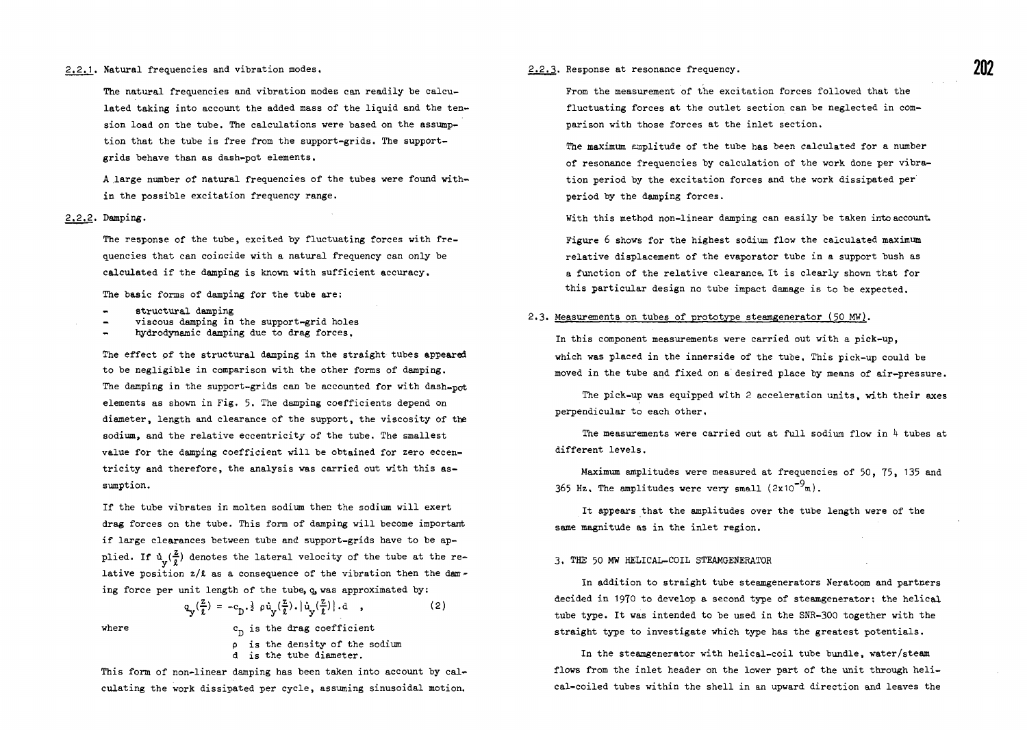The natural frequencies and vibration modes can readily be calculated taking into account the added mass of the liquid and the tension load on the tube. The calculations vere based on the assumption that the tube is free from the support-grids. The supportgrids behave than as dash-pot elements.

A large number of natural frequencies of the tubes were found within the possible excitation frequency range.

### 2.2.2. Damping.

The response of the tube, excited by fluctuating forces with frequencies that can coincide with a natural frequency can only be calculated if the damping is known with sufficient accuracy.

The basic forms of damping for the tube are;

- structural damping
- viscous damping in the support-grid holes
- hydrodynamic damping due to drag forces.

The effect of the structural damping in the straight tubes appeared to be negligible in comparison with the other forms of damping. The damping in the support-grids can be accounted for with dash-pot elements as shown in Fig. 5. The damping coefficients depend on diameter, length and clearance of the support, the viscosity of the sodium, and the relative eccentricity of the tube. The smallest value for the damping coefficient will be obtained for zero eccentricity and therefore, the analysis was carried out with this assumption.

If the tube vibrates in molten sodium then the sodium will exert drag forces on the tube. This form of damping will become important if large clearances between tube and support-grids have to be applied. If  $\mathfrak{u}_{v}(\frac{2}{\ell})$  denotes the lateral velocity of the tube at the relative position  $z/t$  as a consequence of the vibration then the daming force per unit length of the tube, q, was approximated by:

where

(2)  $q_v(\frac{z}{\ell}) = -c_p \cdot \frac{1}{2} \rho \dot{u}_v(\frac{z}{\ell}).|\dot{u}_v(\frac{z}{\ell})|$ .d.,

> $c_n$  is the drag coefficient p is the density of the sodium d is the tube diameter.

This form of non-linear damping has been taken into account by calculating the work dissipated per cycle, assuming sinusoidal motion.

#### 2.2.3. Response at resonance frequency.

From the measurement of the excitation forces followed that the fluctuating forces at the outlet section can be neglected in comparison with those forces at the inlet section.

The maximum amplitude of the tube has been calculated for a number of resonance frequencies by calculation of the work done per vibration period by the excitation forces and the work dissipated per period by the damping forces.

With this method non-linear damping can easily be taken into account.

Figure 6 shows for the highest sodium flow the calculated maximum relative displacement of the evaporator tube in a support bush as a function of the relative clearance. It is clearly shown that for this particular design no tube impact damage is to be expected.

# 2.3. Measurements on tubes of prototype steamgenerator (50 MW).

In this component measurements were carried out with a pick-up, which was placed in the innerside of the tube. This pick-up could be moved in the tube and fixed on a desired place by means of air-pressure.

The pick-up was equipped with 2 acceleration units, with their axes perpendicular to each other.

The measurements were carried out at full sodium flow in  $4$  tubes at different levels.

Maximum amplitudes were measured at frequencies of 50, 75, 135 and 365 Hz. The amplitudes were very small  $(2x10^{-9}m)$ .

It appears that the amplitudes over the tube length were of the same magnitude as in the inlet region.

#### 3. THE 50 MW HELICAL-COIL STEAMGENERATOR

In addition to straight tube steamgenerators Neratoom and partners decided in 1970 to develop a second type of steamgenerator: the helical tube type. It was intended to be used in the SNR-3OO together with the straight type to investigate which type has the greatest potentials.

In the steamgenerator with helical-coil tube bundle, water/steam flows from the inlet header on the lower part of the unit through helical-coiled tubes within the shell in an upward direction and leaves the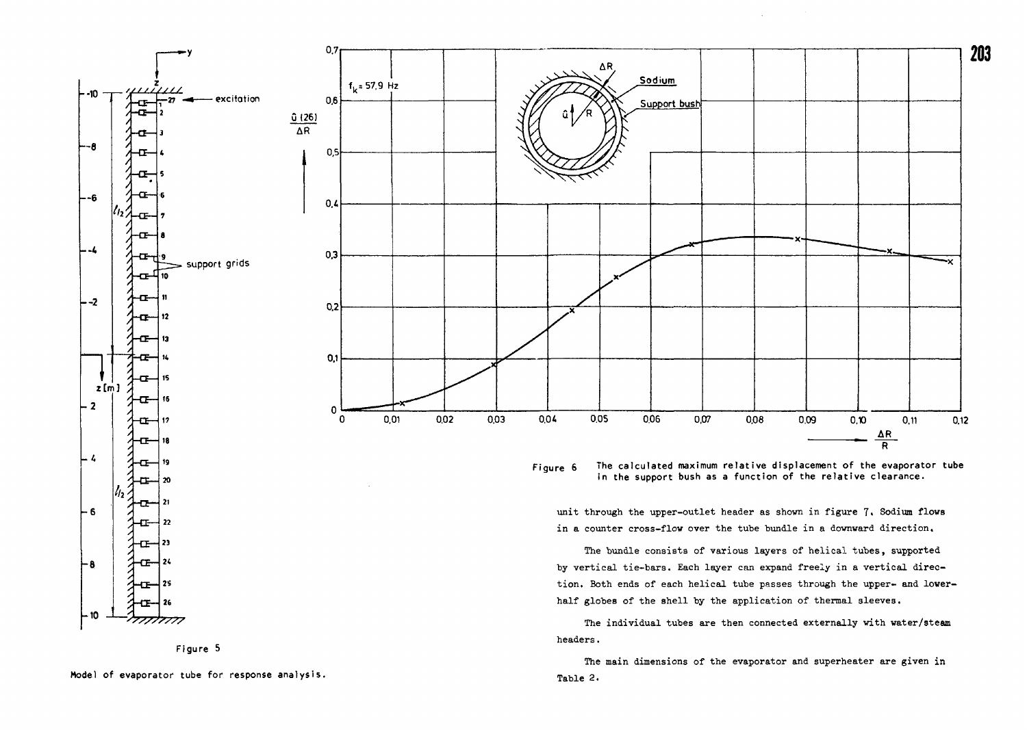



The main dimensions of the evaporator and superheater are given in Table 2.

Figure 5

Model of evaporator tube for response analysis.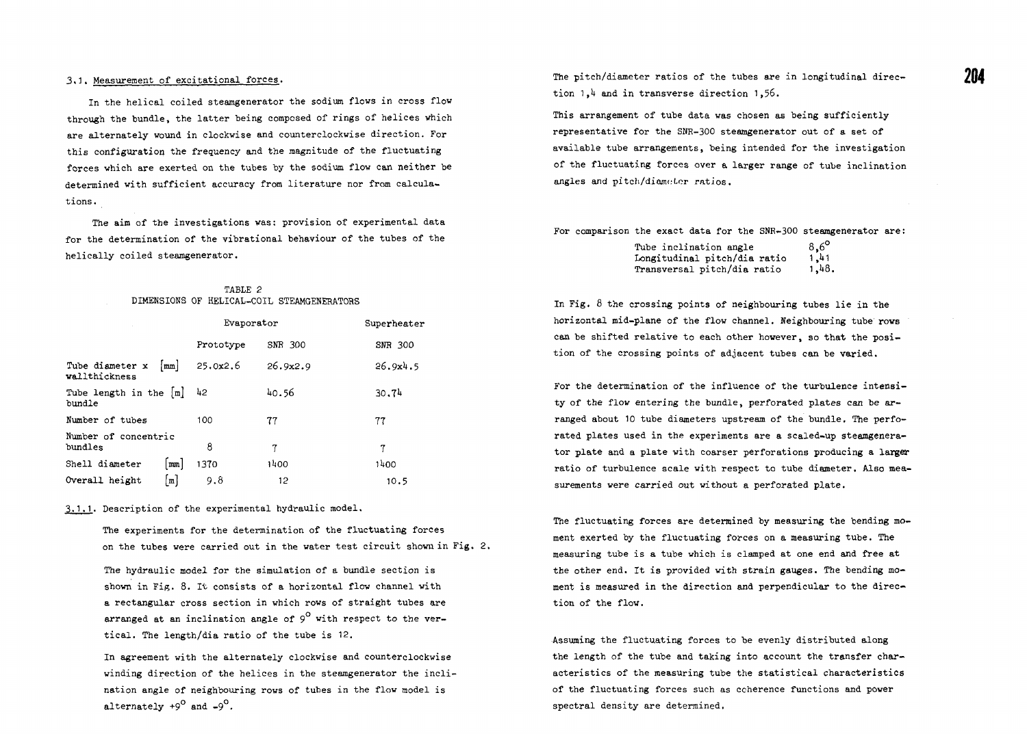# 3.1. Measurement of exeitational forces.

In the helical coiled steamgenerator the sodium flows in cross flow through the bundle, the latter being composed of rings of helices which are alternately wound in clockwise and counterclockwise direction. For this configuration the frequency and the magnitude of the fluctuating forces which are exerted on the tubes by the sodium flow can neither be determined with sufficient accuracy from literature nor from calculations.

The aim of the investigations was: provision of experimental data for the determination of the vibrational behaviour of the tubes of the helically coiled steamgenerator.

|  | TABLE 2 |                                            |
|--|---------|--------------------------------------------|
|  |         | DIMENSIONS OF HELICAL-COIL STEAMGENERATORS |

|                                  |                        | Evaporator |          | Superheater |  |
|----------------------------------|------------------------|------------|----------|-------------|--|
|                                  |                        | Prototype  | SNR 300  | SNR 300     |  |
| Tube diameter x<br>wallthickness | $\lfloor$ mm $\rfloor$ | 25.0x2.6   | 26.9x2.9 | 26.9x4.5    |  |
| Tube length in the [m]<br>bundle |                        | 42         | 40.56    | 30.74       |  |
| Number of tubes                  |                        | 100        | 77       | 77          |  |
| Number of concentric<br>bundles  |                        | 8          | 7        | 7           |  |
| Shell diameter                   | $\mathbf{m}\mathbf{m}$ | 1370       | 1400     | 1400        |  |
| Overall height                   | ¦m                     | 9.8        | 12       | 10.5        |  |

.1.1. Description of the experimental hydraulic model.

The experiments for the determination of the fluctuating forces on the tubes were carried out in the water test circuit shown in Fig. 2.

The hydraulic model for the simulation of a bundle section is shown in Fig. 8. It consists of a horizontal flow channel with a rectangular cross section in which rows of straight tubes are arranged at an inclination angle of  $9^{\circ}$  with respect to the vertical. The length/dia ratio of the tube is 12.

In agreement with the alternately clockwise and counterclockwise winding direction of the helices in the steamgenerator the inclination angle of neighbouring rows of tubes in the flow model is alternately  $+9^{\circ}$  and  $-9^{\circ}$ .

The pitch/diameter ratios of the tubes are in longitudinal direction 1.4 and in transverse direction 1,56.

This arrangement of tube data was chosen as being sufficiently representative for the SNR-300 steamgenerator out of a set of available tube arrangements, being intended for the investigation of the fluctuating forces over a larger range of tube inclination angles and pitch/diameter ratios.

For comparison the exact data for the SNR-300 steamgenerator are:

| Tube inclination angle       | $8,6^{\circ}$ |
|------------------------------|---------------|
| Longitudinal pitch/dia ratio | 1,41          |
| Transversal pitch/dia ratio  | 1,48.         |

In Fig.  $\delta$  the crossing points of neighbouring tubes lie in the horizontal mid-plane of the flow channel. Neighbouring tube rows can be shifted relative to each other however, so that the position of the crossing points of adjacent tubes can be varied.

For the determination of the influence of the turbulence intensity of the flow entering the bundle, perforated plates can be arranged about 10 tube diameters upstream of the bundle. The perforated plates used in the experiments are a scaled-up steamgenerator plate and a plate vith coarser perforations producing a larger ratio of turbulence scale with respect to tube diameter, Also measurements were carried out without a perforated plate.

The fluctuating forces are determined by measuring the bending moment exerted by the fluctuating forces on a measuring tube. The measuring tube is a tube which is clamped at one end and free at the other end. It is provided with strain gauges. The bending moment is measured in the direction and perpendicular to the direction of the flow.

Assuming the fluctuating forces to be evenly distributed along the length of the tube and taking into account the transfer characteristics of the measuring tube the statistical characteristics of the fluctuating forces such as coherence functions and power spectral density are determined.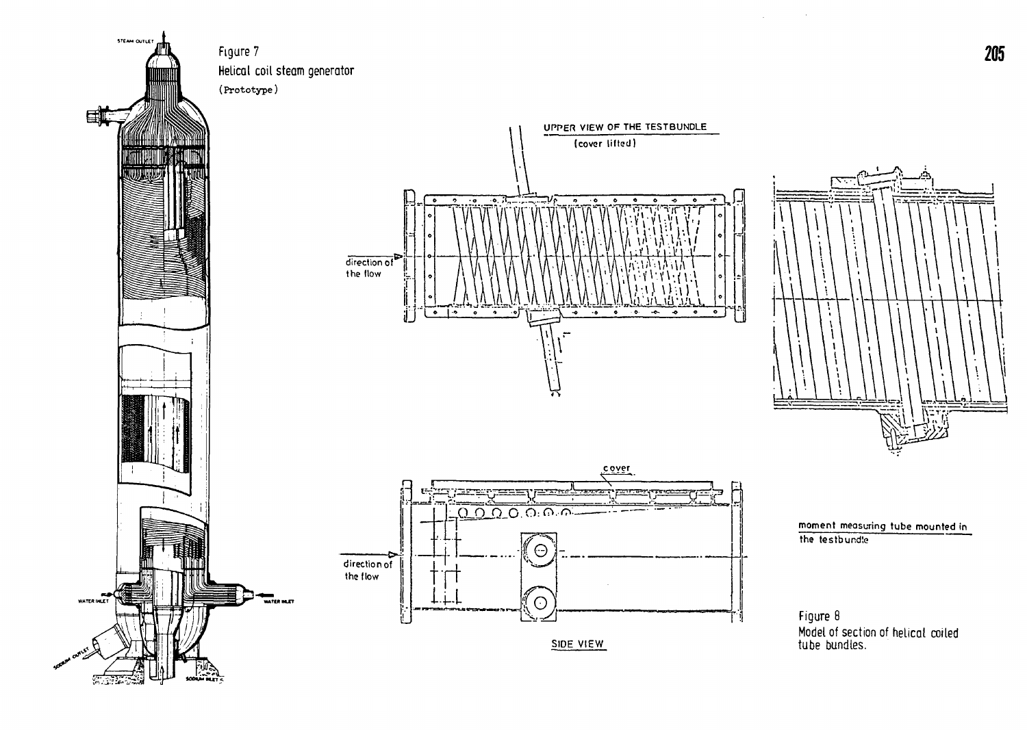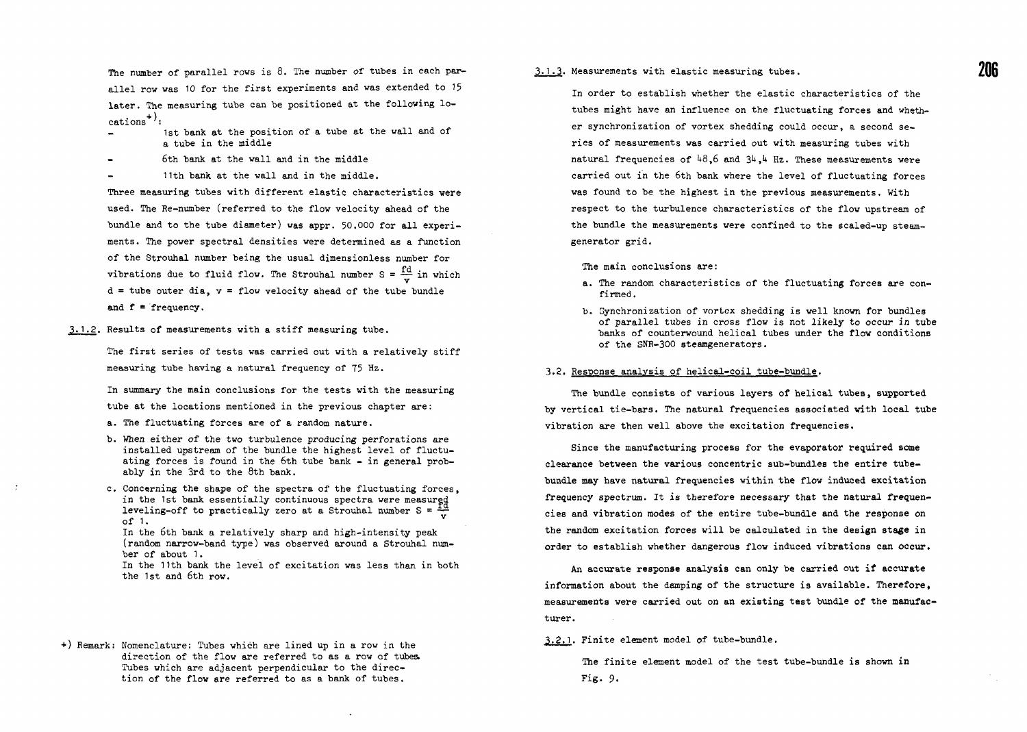The number of parallel rows is 8. The number of tubes in each parallel row was 10 for the first experiments and was extended to 15 later. The measuring tube can be positioned at the following lo $cations<sup>+</sup>$ :

- 1st bank at the position of a tube at the wall and of a tube in the middle
- ban bank at the wall and in the middle
- 11th bank at the wall and in the middle.

Three measuring tubes with different elastic characteristics were used. The Re-number (referred to the flow velocity ahead of the bundle and to the tube diameter) was appr. 50.000 for all experiments. The power spectral densities were determined as a function of the Strouhal number being the usual dimensionless number for vibrations due to fluid flow. The Strouhal number  $S = \frac{fd}{r}$  in which  $d =$  tube outer dia,  $v =$  flow velocity ahead of the tube bundle and  $f = frequency$ .

• 1.2. Results of measurements with a stiff measuring tube.

The first series of tests was carried out with a relatively stiff measuring tube having a natural frequency of 75 Hz.

In summary the main conclusions for the tests with the measuring tube at the locations mentioned in the previous chapter are:

- a. The fluctuating forces are of a random nature.
- b. When either of the two turbulence producing perforations are installed upstream of the bundle the highest level of fluctuating forces is found in the 6th tube bank - in general probably in the 3rd to the 8th bank.
- c. Concerning the shape of the spectra of the fluctuating forces, in the 1st bank essentially continuous spectra were measured leveling-off to practically zero at a Strouhal number  $S = \frac{2\pi}{V}$ of 1.

In the 6th bank a relatively sharp and high-intensity peak (random narrow-band type) was observed around a Strouhal number of about 1.

In the 11th bank the level of excitation was less than in both the 1st and 6th row.

+) Remark: Nomenclature: Tubes which are lined up in a row in the direction of the flow are referred to as a row of tubes. Tubes which are adjacent perpendicular to the direction of the flow are referred to as a bank of tubes.

3.1 .3. Measurements with elastic measuring tubes.

In order to establish whether the elastic characteristics of the tubes might have an influence on the fluctuating forces and whether synchronization of vortex shedding could occur, a second series of measurements was carried out with measuring tubes with natural frequencies of  $48,6$  and  $34,4$  Hz. These measurements were carried out in the 6th bank where the level of fluctuating forces was found to be the highest in the previous measurements. With respect to the turbulence characteristics of the flow upstream of the bundle the measurements were confined to the scaled-up steamgenerator grid.

The main conclusions are:

- a. The random characteristics of the fluctuating forces are confirmed .
- b. Synchronization of vortex shedding is well known for bundles of parallel tubes in cross flow is not likely to occur in tube banks of counterwound helical tubes under the flow conditions of the SNR-300 steamgenerators.

## 3.2. Response analysis of helical-coil tube-bundle.

The bundle consists of various layers of helical tubes, supported by vertical tie-bars. The natural frequencies associated with local tube vibration are then well above the excitation frequencies.

Since the manufacturing process for the evaporator required some clearance between the various concentric sub-bundles the entire tubebundle may have natural frequencies within the flow induced excitation frequency spectrum. It is therefore necessary that the natural frequencies and vibration modes of the entire tube-bundle and the response on the random excitation forces will be calculated in the design stage in order to establish whether dangerous flow induced vibrations can occur.

An accurate response analysis can only be carried out if accurate information about the damping of the structure is available. Therefore, measurements were carried out on an existing test bundle of the manufacturer.

3.2.1. Finite element model of tube-bundle.

The finite element model of the test tube-bundle is shown in Fig. 9.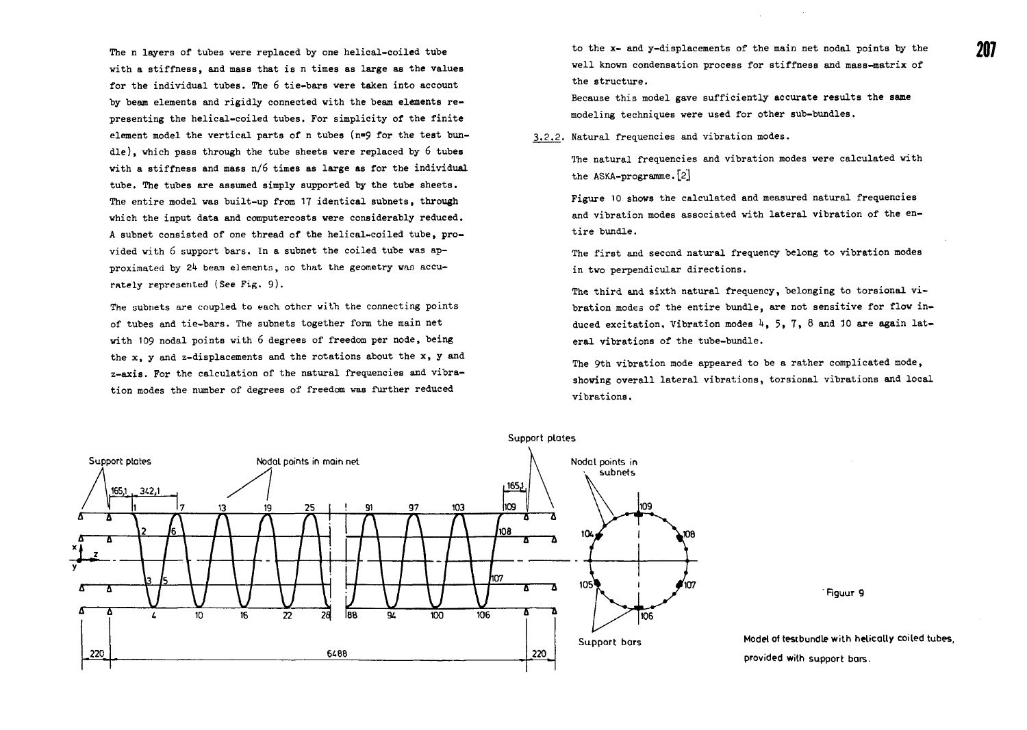The n layers of tubes vere replaced by one helical-coiled tube with a stiffness, and mass that is n times as large as the values for the individual tubes. The 6 tie-bars were taken into account by beam elements and rigidly connected with the beam elements representing the helical-coiled tubes. For simplicity of the finite element model the vertical parts of n tubes ( $n=9$  for the test bundle), which pass through the tube sheets were replaced by 6 tubes with a stiffness and mass n/6 times as large as for the individual tube. The tubes are assumed simply supported by the tube sheets. The entire model was built-up from 17 identical subnets, through which the input data and computercosts were considerably reduced. A subnet consisted of one thread of the helical-coiled tube, provided with 6 support bars. In a subnet the coiled tube was approximated by 24 beam elements, so that the geometry was accurately represented (See Fig. 9).

The subnets are coupled to each other with the connecting points of tubes and tie-bars. The subnets together form the main net with 109 nodal points with 6 degrees of freedom per node, being the x, y and z-displacements and the rotations about the x, y and z-axis. For the calculation of the natural frequencies and vibration modes the number of degrees of freedom was further reduced

to the x- and y-displacements of the main net nodal points by the well known condensation process for stiffness and mass-matrix of the structure.

Because this model gave sufficiently accurate results the same modeling techniques were used for other sub-bundles.

3.2.2. Natural frequencies and vibration modes.

The natural frequencies and vibration modes were calculated with the ASKA-programme.[2]

Figure 10 shows the calculated and measured natural frequencies and vibration modes associated with lateral vibration of the entire bundle.

The first and second natural frequency belong to vibration modes in two perpendicular directions.

The third and sixth natural frequency, belonging to torsional vibration modes of the entire bundle, are not sensitive for flow induced excitation. Vibration modes  $4, 5, 7, 8$  and 10 are again lateral vibrations of the tube-bundle.

The 9th vibration mode appeared to be a rather complicated mode, showing overall lateral vibrations, torsional vibrations and local vibrations.



'Rguur 9

Model of testbundle with helically coiled tubes, provided wilh support bars.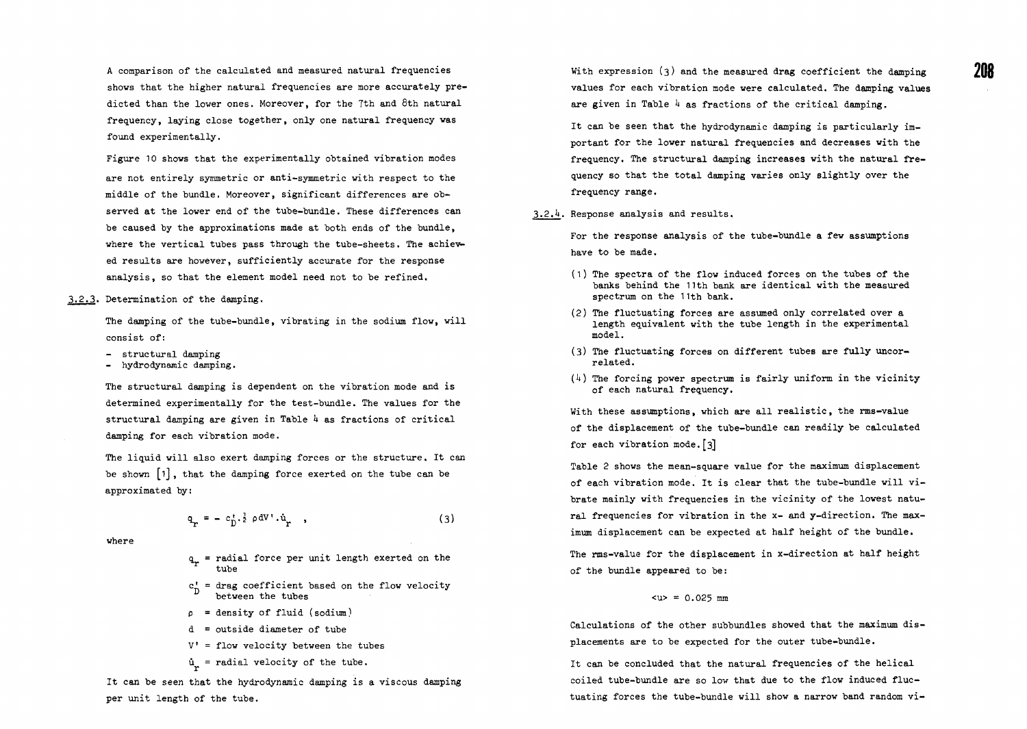Figure 10 shows that the experimentally obtained vibration modes are not entirely symmetric or anti-symmetric with respect to the middle of the bundle. Moreover, significant differences are observed at the lower end of the tube-bundle. These differences can be caused by the approximations made at both ends of the bundle, where the vertical tubes pass through the tube-sheets. The achieved results are however, sufficiently accurate for the response analysis, so that the element model need not to be refined.

3.2.3. Determination of the damping.

The damping of the tube-bundle, vibrating in the sodium flow, will consist of:

- structural damping
- hydrodynamic damping.

The structural damping is dependent on the vibration mode and is determined experimentally for the test-bundle. The values for the structural damping are given in Table  $\mu$  as fractions of critical damping for each vibration mode.

The liquid will also exert damping forces or the structure. It can be shown  $\lceil 1 \rceil$ , that the damping force exerted on the tube can be approximated by:

$$
\mathbf{q}_{\mathbf{r}} = - c_{\mathbf{D}}^{\dagger} \cdot \dot{\mathbf{r}} \rho \, \mathrm{d}V^{\dagger} \cdot \dot{\mathbf{u}}_{\mathbf{r}} \quad , \tag{3}
$$

where

- a = radial force per unit length exerted on the tube
- $c_n^*$  = drag coefficient based on the flow velocity between the tubes
- $p =$  density of fluid (sodium)
- d = outside diameter of tube
- $V'$  = flow velocity between the tubes
- $\mathbf{u}$  = radial velocity of the tube.

It can be seen that the hydrodynamic damping is a viscous damping per unit length of the tube.

With expression (3) and the measured drag coefficient the damping values for each vibration mode were calculated. The damping values are given in Table  $\frac{1}{4}$  as fractions of the critical damping.

It can be seen that the hydrodynamic damping is particularly important for the lower natural frequencies and decreases with the frequency. The structural damping increases with the natural frequency so that the total damping varies only slightly over the frequency range.

.2.h. Response analysis and results.

For the response analysis of the tube-bundle a few assumptions have to be made.

- (1) The spectra of the flow induced forces on the tubes of the banks behind the 11th bank are identical with the measured spectrum on the 11th bank.
- (2) The fluctuating forces are assumed only correlated over a length equivalent with the tube length in the experimental model.
- (3) The fluctuating forces on different tubes are fully uncorrelated.
- $(k)$  The forcing power spectrum is fairly uniform in the vicinity of each natural frequency.

With these assumptions, which are all realistic, the rms-value of the displacement of the tube-bundle can readily be calculated for each vibration mode.<sup>[3]</sup>

Table 2 shows the mean-square value for the maximum displacement of each vibration mode. It is clear that the tube-bundle will vibrate mainly with frequencies in the vicinity of the lowest natural frequencies for vibration in the x- and y-direction. The maximum displacement can be expected at half height of the bundle.

The rms-value for the displacement in x-direction at half height of the bundle appeared to be:

## $\langle u \rangle = 0.025$  mm

Calculations of the other subbundles showed that the maximum displacements are to be expected for the outer tube-bundle.

It can be concluded that the natural frequencies of the helical coiled tube-bundle are so low that due to the flow induced fluctuating forces the tube-bundle will show a narrow band random vi-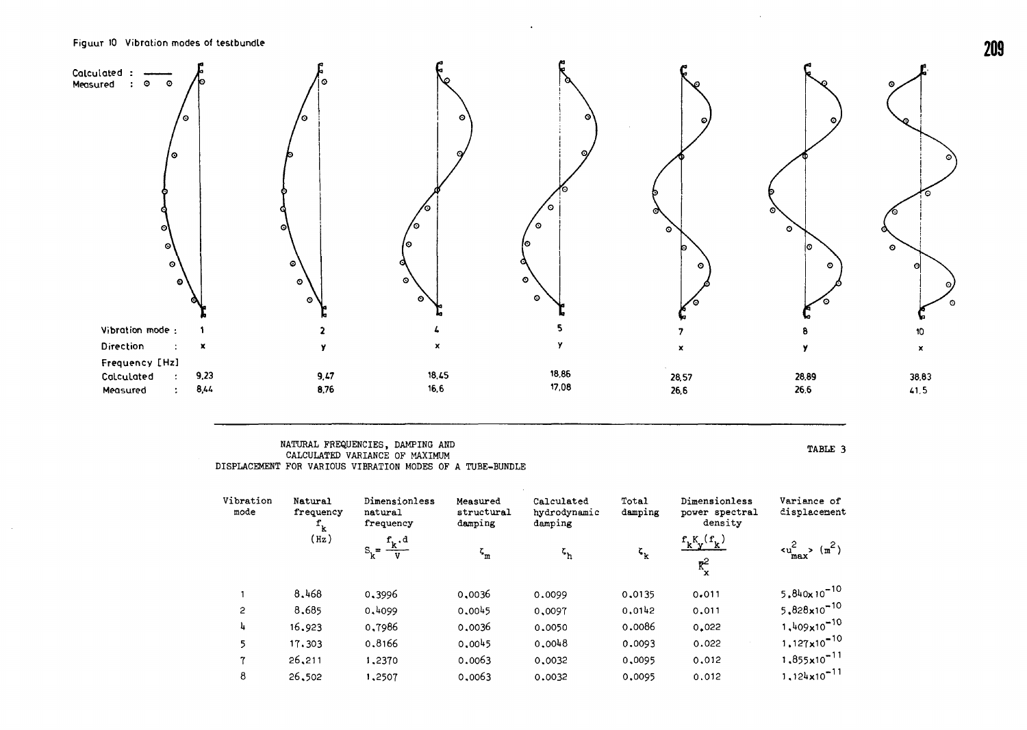$\sim$ 



## NATURAL FREQUENCIES, DAMPING AND CALCULATED VARIANCE OF MAXIMUM DISPLACEMENT FOR VARIOUS VIBRATION MODES OF A TUBE-BUNDLE

TABLE 3

**209**

| Vibration<br>mode | Natural<br>frequency<br>$\mathbf{f}_{\mathbf{k}}$ | Dimensionless<br>natural<br>frequency | Measured<br>structural<br>damping | Calculated<br>hydrodynamic<br>damping | Total<br>damping            | Dimensionless<br>power spectral<br>density          | Variance of<br>displacement                         |
|-------------------|---------------------------------------------------|---------------------------------------|-----------------------------------|---------------------------------------|-----------------------------|-----------------------------------------------------|-----------------------------------------------------|
|                   | (Hz)                                              | $S_k = \frac{f_k \cdot d}{V}$         | $\zeta_{\rm m}$                   | $\mathbf{z}_{\mathbf{h}}$             | $\mathfrak{c}_{\mathbf{k}}$ | $f_k^{\kappa}f_{\kappa}^{\kappa}$<br>$\mathbf{R}^2$ | $\langle {\tt u}_{\tt max}^2 \rangle$ $({\tt m}^2)$ |
|                   | 8.468                                             | 0,3996                                | 0,0036                            | 0.0099                                | 0,0135                      | 0.011                                               | $5.840 \times 10^{-10}$                             |
| $\mathbf{c}$      | 8,685                                             | 0,4099                                | 0.0045                            | 0.0097                                | 0.0142                      | 0.011                                               | $5.828 \times 10^{-10}$                             |
| 4                 | 16.923                                            | 0,7986                                | 0.0036                            | 0.0050                                | 0.0086                      | 0.022                                               | $1,409\times10^{-10}$                               |
| 5                 | 17.303                                            | 0.8166                                | 0.0045                            | 0.0048                                | 0.0093                      | 0.022                                               | $1,127 \times 10^{-10}$                             |
| 7                 | 26,211                                            | 1,2370                                | 0.0063                            | 0.0032                                | 0,0095                      | 0.012                                               | $1.855 \times 10^{-11}$                             |
| 8                 | 26,502                                            | 1,2507                                | 0.0063                            | 0.0032                                | 0,0095                      | 0.012                                               | $1,124 \times 10^{-11}$                             |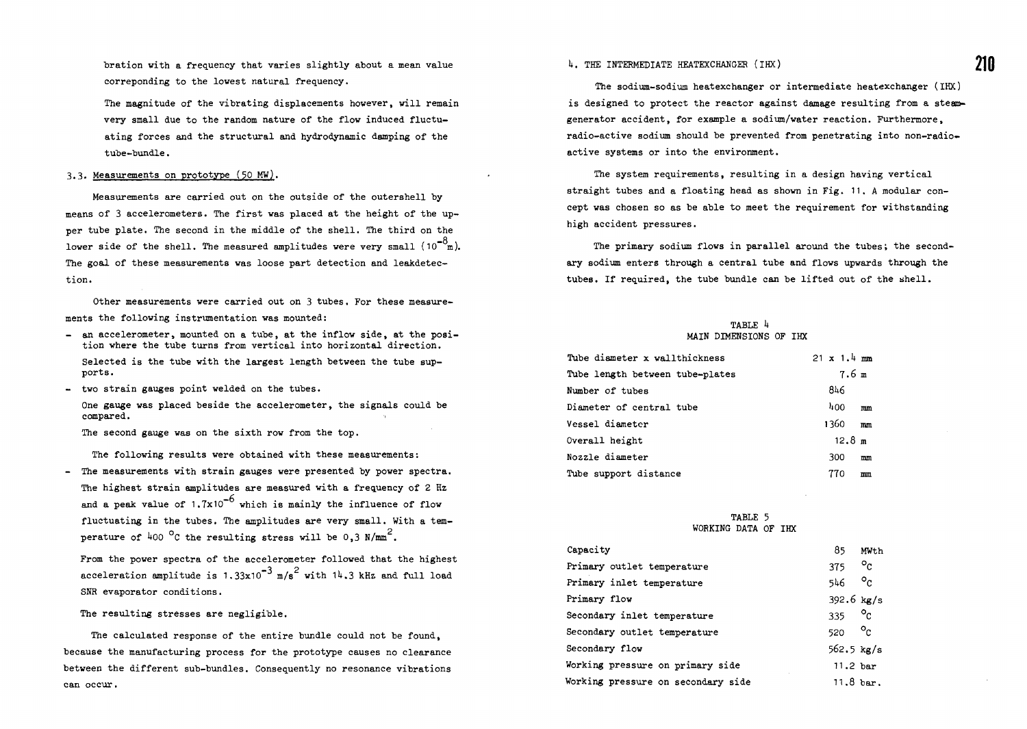bration with a frequency that varies slightly about a mean value correponding to the lowest natural frequency.

The magnitude of the vibrating displacements however, will remain very small due to the random nature of the flow induced fluctuating forces and the structural and hydrodynamic damping of the tube-bundle.

### 3.3. Measurements on prototype (50 MW).

Measurements are carried out on the outside of the outershell by means of 3 accelerometers. The first was placed at the height of the upper tube plate. The second in the middle of the shell. The third on the lower side of the shell. The measured amplitudes were very small  $(10^{-8}$ m). The goal of these measurements was loose part detection and leakdetec-The goal of these measurements was loose part detection and leakdetec-

Other measurements were carried out on 3 tubes. For these measurements the following instrumentation was mounted:

- an accelerometer, mounted on a tube, at the inflow side, at the position where the tube turns from vertical into horizontal direction. Selected is the tube with the largest length between the tube supports.
- two strain gauges point welded on the tubes.

One gauge was placed beside the accelerometer, the signals could be compared.

The second gauge was on the sixth row from the top.

The following results were obtained with these measurements:

- The measurements with strain gauges were presented by power spectra. The highest strain amplitudes are measured with a frequency of 2 Hz and a peak value of  $1.7x10^{-6}$  which is mainly the influence of flow fluctuating in the tubes. The amplitudes are very small. With a temperature of 400  $^{\circ}$ C the resulting stress will be 0.3 N/mm<sup>2</sup>.

From the power spectra of the accelerometer followed that the highest acceleration amplitude is 1.33 $x10^{-3}$  m/s<sup>2</sup> with  $14.3$  kHz and full load SNR evaporator conditions.

The resulting stresses are negligible.

The calculated response of the entire bundle could not be found, because the manufacturing process for the prototype causes no clearance between the different sub-bundles. Consequently no resonance vibrations can occur.

# 4. THE INTERMEDIATE HEATEXCHANGER (IHX)

The sodium-sodium heatexchanger or intermediate heatexchanger (IHX) is designed to protect the reactor against damage resulting from a steamgenerator accident, for example a sodium/water reaction. Furthermore, radio-active sodium should be prevented from penetrating into non-radioactive systems or into the environment.

The system requirements, resulting in a design having vertical straight tubes and a floating head as shown in Fig. 11. A modular concept was chosen so as be able to meet the requirement for withstanding high accident pressures.

The primary sodium flows in parallel around the tubes; the secondary sodium enters through a central tube and flows upwards through the tubes. If required, the tube bundle can be lifted out of the shell.

#### TABLE 4 MAIN DIMENSIONS OF IHX

| Tube diameter x wallthickness   | $21 \times 1.4$ mm |    |
|---------------------------------|--------------------|----|
| Tube length between tube-plates | 7.6 m              |    |
| Number of tubes                 | 846                |    |
| Diameter of central tube        | 400                | mm |
| Vessel diameter                 | 1360.              | mm |
| Overall height                  | 12.8 m             |    |
| Nozzle diameter                 | 300                | mm |
| Tube support distance           | 770                | mm |

### TABLE 5 WORKING DATA OF IHX

| Capacity                           | 85                  | MW <sub>t.h</sub>   |
|------------------------------------|---------------------|---------------------|
| Primary outlet temperature         | 375                 | $\circ_{c}$         |
| Primary inlet temperature          | 546 -               | $\circ_{\alpha}$    |
| Primary flow                       | 392.6 $kg/s$        |                     |
| Secondary inlet temperature        | 335                 | $\circ_{c}$         |
| Secondary outlet temperature       | 520                 | $\circ_{c}$         |
| Secondary flow                     | 562.5 $kg/s$        |                     |
| Working pressure on primary side   | 11.2 <sub>bar</sub> |                     |
| Working pressure on secondary side |                     | $11.8 \text{ bar}.$ |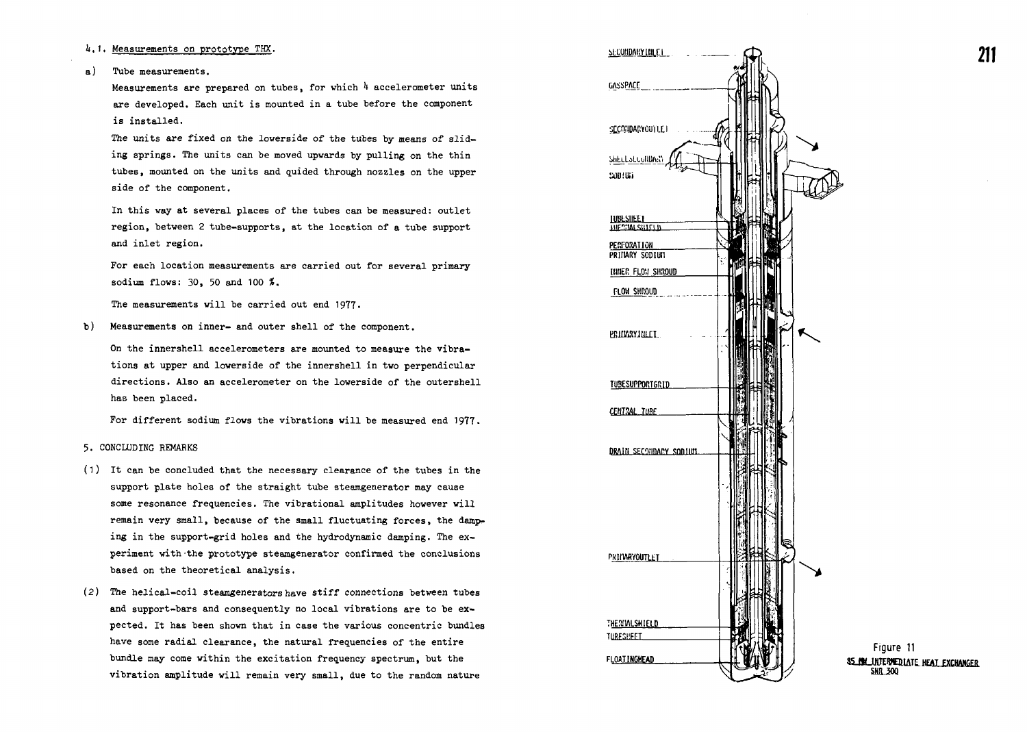# 4.1. Measurements on prototype THX.

### a) Tube measurements.

Measurements are prepared on tubes, for which 4 accelerometer units are developed. Each unit is mounted in a tube before the component is installed.

The units are fixed on the lowerside of the tubes by means of sliding springs. The units can be moved upwards by pulling on the thin tubes, mounted on the units and quided through nozzles on the upper side of the component.

In this way at several places of the tubes can be measured: outlet region, between 2 tube-supports, at the location of a tube support and inlet region.

For each location measurements are carried out for several primary sodium flows: 30, 50 and 100 %.

The measurements will be carried out end 1977.

b) Measurements on inner- and outer shell of the component.

On the innershell accelerometers are mounted to measure the vibrations at upper and lowerside of the innershell in two perpendicular directions. Also an accelerometer on the lowerside of the outershell has been placed.

For different sodium flows the vibrations will be measured end 1977.

### 5. CONCLUDING REMARKS

- (1) It can be concluded that the necessary clearance of the tubes in the support plate holes of the straight tube steamgenerator may cause some resonance frequencies. The vibrational amplitudes however will remain very small, because of the small fluctuating forces, the damping in the support-grid holes and the hydrodynamic damping. The experiment with -the prototype steamgenerator confirmed the conclusions based on the theoretical analysis.
- (2) The helical-coil steamgenerators have stiff connections between tubes and support-bars and consequently no local vibrations are to be expected. It has been shown that in case the various concentric bundles have some radial clearance, the natural frequencies of the entire bundle may come within the excitation frequency spectrum, but the vibration amplitude will remain very small, due to the random nature